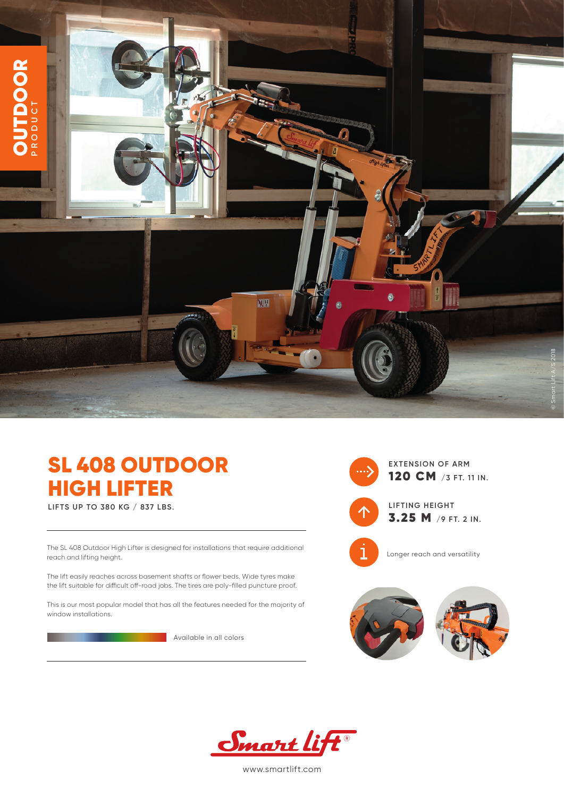

## SL 408 OUTDOOR HIGH LIFTER

**LIFTS UP TO 380 KG / 837 LBS.**

The SL 408 Outdoor High Lifter is designed for installations that require additional reach and lifting height.

The lift easily reaches across basement shafts or flower beds. Wide tyres make the lift suitable for difficult off-road jobs. The tires are poly-filled puncture proof.

This is our most popular model that has all the features needed for the majority of window installations.

**Available in all colors** 



**EXTENSION OF ARM** 120 CM **/3 FT. 11 IN.**



**LIFTING HEIGHT** 3.25 M **/9 FT. 2 IN.**



Longer reach and versatility





www.smartlift.com